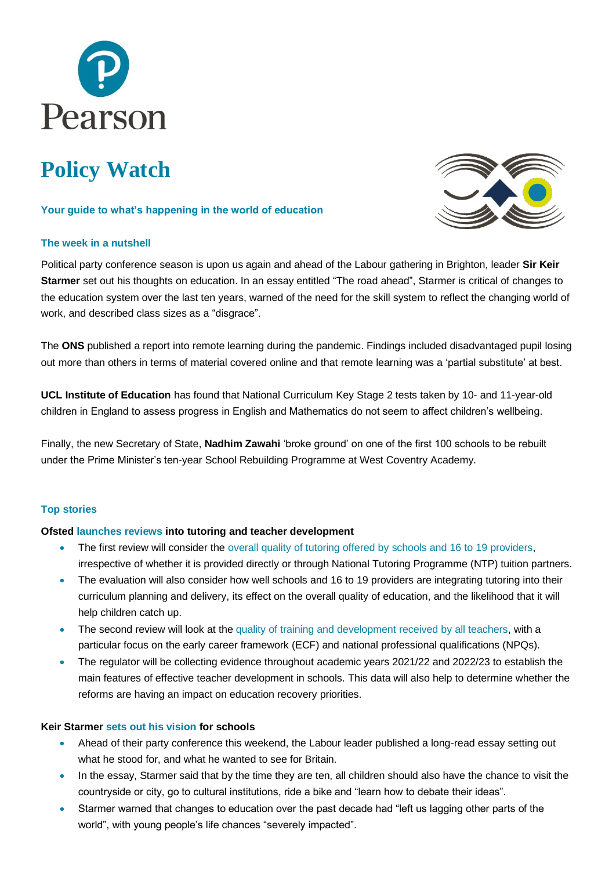

# **Policy Watch**

# **Your guide to what's happening in the world of education**

# **The week in a nutshell**



Political party conference season is upon us again and ahead of the Labour gathering in Brighton, leader **Sir Keir Starmer** set out his thoughts on education. In an essay entitled "The road ahead", Starmer is critical of changes to the education system over the last ten years, warned of the need for the skill system to reflect the changing world of work, and described class sizes as a "disgrace".

The **ONS** published a report into remote learning during the pandemic. Findings included disadvantaged pupil losing out more than others in terms of material covered online and that remote learning was a 'partial substitute' at best.

**UCL Institute of Education** has found that National Curriculum Key Stage 2 tests taken by 10- and 11-year-old children in England to assess progress in English and Mathematics do not seem to affect children's wellbeing.

Finally, the new Secretary of State, **Nadhim Zawahi** 'broke ground' on one of the first 100 schools to be rebuilt under the Prime Minister's ten-year School Rebuilding Programme at West Coventry Academy.

# **Top stories**

# **Ofsted [launches reviews](https://www.gov.uk/government/news/ofsted-to-review-two-education-catch-up-reforms?utm_medium=email&utm_campaign=govuk-notifications&utm_source=a2059473-4661-4b7f-b35d-ff769d4c67db&utm_content=immediately) into tutoring and teacher development**

- The first review will consider the [overall quality of tutoring offered by](https://www.gov.uk/government/publications/ofsteds-independent-review-of-tutoring?utm_medium=email&utm_campaign=govuk-notifications&utm_source=d5e199ed-bc89-4a9f-8621-43f5e366b902&utm_content=immediately) schools and 16 to 19 providers, irrespective of whether it is provided directly or through National Tutoring Programme (NTP) tuition partners.
- The evaluation will also consider how well schools and 16 to 19 providers are integrating tutoring into their curriculum planning and delivery, its effect on the overall quality of education, and the likelihood that it will help children catch up.
- The second review will look at the [quality of training and development received by all teachers,](https://www.gov.uk/government/publications/ofsteds-independent-review-of-teachers-professional-development?utm_medium=email&utm_campaign=govuk-notifications&utm_source=9b6b4ef3-aa6a-485a-b466-2856fdcf21e9&utm_content=immediately) with a particular focus on the early career framework (ECF) and national professional qualifications (NPQs).
- The regulator will be collecting evidence throughout academic years 2021/22 and 2022/23 to establish the main features of effective teacher development in schools. This data will also help to determine whether the reforms are having an impact on education recovery priorities.

# **Keir Starmer [sets out his vision](https://labourlist.org/wp-content/uploads/2021/09/The-Road-Ahead-FINAL_WEB-fri.pdf) for schools**

- Ahead of their party conference this weekend, the Labour leader published a long-read essay setting out what he stood for, and what he wanted to see for Britain.
- In the essay, Starmer said that by the time they are ten, all children should also have the chance to visit the countryside or city, go to cultural institutions, ride a bike and "learn how to debate their ideas".
- Starmer warned that changes to education over the past decade had "left us lagging other parts of the world", with young people's life chances "severely impacted".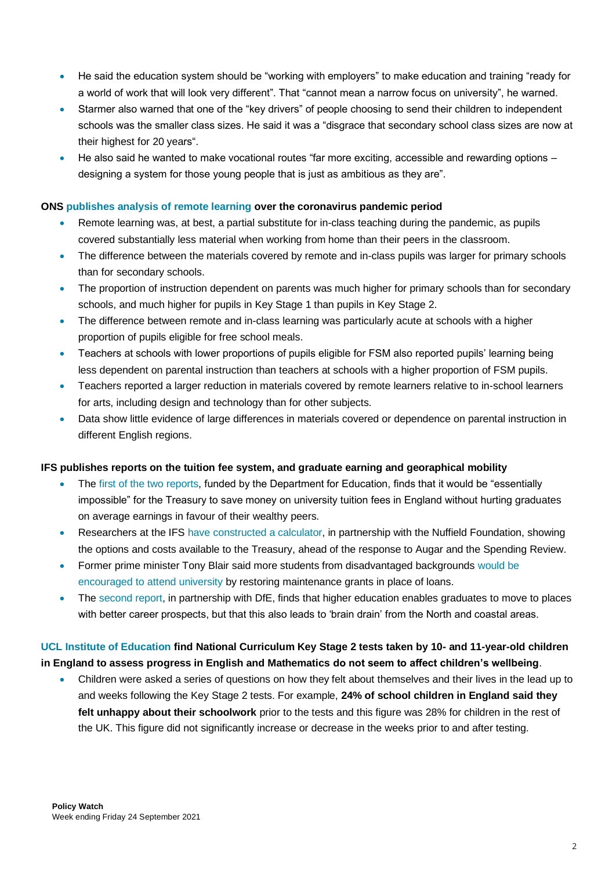- He said the education system should be "working with employers" to make education and training "ready for a world of work that will look very different". That "cannot mean a narrow focus on university", he warned.
- Starmer also warned that one of the "key drivers" of people choosing to send their children to independent schools was the smaller class sizes. He said it was a "disgrace that secondary school class sizes are now at their highest for 20 years".
- He also said he wanted to make vocational routes "far more exciting, accessible and rewarding options designing a system for those young people that is just as ambitious as they are".

# **ONS [publishes analysis of remote learning](https://www.ons.gov.uk/peoplepopulationandcommunity/educationandchildcare/articles/remoteschoolingthroughthecoronaviruscovid19pandemicengland/april2020tojune2021) over the coronavirus pandemic period**

- Remote learning was, at best, a partial substitute for in-class teaching during the pandemic, as pupils covered substantially less material when working from home than their peers in the classroom.
- The difference between the materials covered by remote and in-class pupils was larger for primary schools than for secondary schools.
- The proportion of instruction dependent on parents was much higher for primary schools than for secondary schools, and much higher for pupils in Key Stage 1 than pupils in Key Stage 2.
- The difference between remote and in-class learning was particularly acute at schools with a higher proportion of pupils eligible for free school meals.
- Teachers at schools with lower proportions of pupils eligible for FSM also reported pupils' learning being less dependent on parental instruction than teachers at schools with a higher proportion of FSM pupils.
- Teachers reported a larger reduction in materials covered by remote learners relative to in-school learners for arts, including design and technology than for other subjects.
- Data show little evidence of large differences in materials covered or dependence on parental instruction in different English regions.

# **IFS publishes reports on the tuition fee system, and graduate earning and georaphical mobility**

- The [first of the two reports,](https://ifs.org.uk/publications/15623) funded by the Department for Education, finds that it would be "essentially impossible" for the Treasury to save money on university tuition fees in England without hurting graduates on average earnings in favour of their wealthy peers.
- Researchers at the IFS [have constructed a calculator,](https://ifs.org.uk/publications/15626) in partnership with the Nuffield Foundation, showing the options and costs available to the Treasury, ahead of the response to Augar and the Spending Review.
- Former prime minister Tony Blair said more students from disadvantaged backgrounds would be [encouraged to attend university](https://www.thetimes.co.uk/article/tony-blair-cut-university-tuition-fees-for-the-poorest-students-5j50gwzvr) by restoring maintenance grants in place of loans.
- The [second report,](https://ifs.org.uk/publications/15621) in partnership with DfE, finds that higher education enables graduates to move to places with better career prospects, but that this also leads to 'brain drain' from the North and coastal areas.

# **[UCL Institute of Education](https://nam02.safelinks.protection.outlook.com/?url=https%3A%2F%2Fwww.ucl.ac.uk%2Fioe%2Fnews%2F2021%2Fsep%2Fnational-primary-school-tests-have-little-effect-childrens-happiness-and-wellbeing&data=04%7C01%7Cdaniel.pedley%40pearson.com%7C0beaf90c47274748cde308d97f61d5aa%7C8cc434d797d047d3b5c514fe0e33e34b%7C0%7C0%7C637680880557109223%7CUnknown%7CTWFpbGZsb3d8eyJWIjoiMC4wLjAwMDAiLCJQIjoiV2luMzIiLCJBTiI6Ik1haWwiLCJXVCI6Mn0%3D%7C3000&sdata=Tg%2FOSUVvRz%2BzLpUdel4wWlqX%2BezisL7fofmRL23uxOw%3D&reserved=0) find National Curriculum Key Stage 2 tests taken by 10- and 11-year-old children in England to assess progress in English and Mathematics do not seem to affect children's wellbeing**.

• Children were asked a series of questions on how they felt about themselves and their lives in the lead up to and weeks following the Key Stage 2 tests. For example, **24% of school children in England said they felt unhappy about their schoolwork** prior to the tests and this figure was 28% for children in the rest of the UK. This figure did not significantly increase or decrease in the weeks prior to and after testing.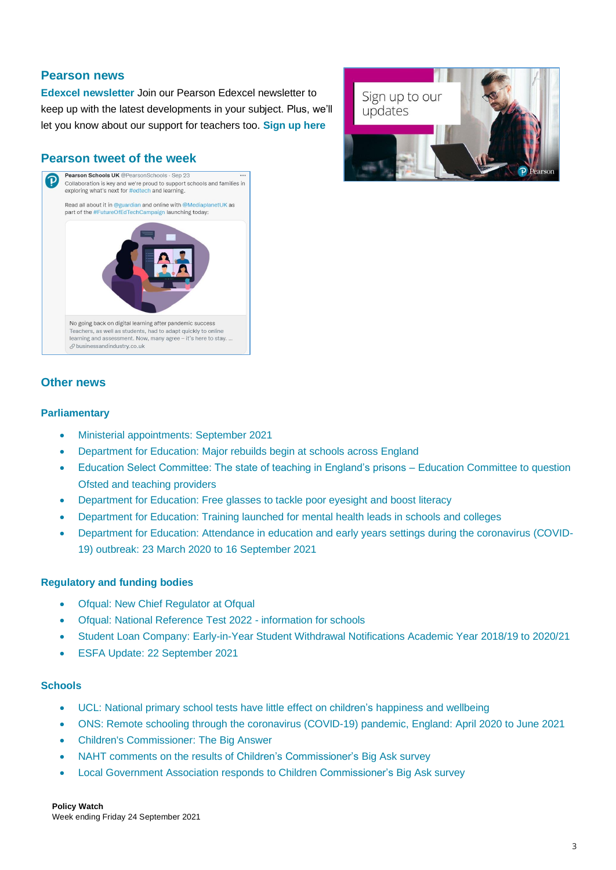# **Pearson news**

**[Edexcel newsletter](https://www.pearson.com/uk/educators/schools/subject-area/extended-curriculum-and-btec/teacher-form.html)** Join our Pearson Edexcel newsletter to keep up with the latest developments in your subject. Plus, we'll let you know about our support for teachers too. **[Sign up here](https://www.pearson.com/uk/educators/schools/subject-area/extended-curriculum-and-btec/teacher-form.html)**

# **Pearson tweet of the week**





# **Other news**

#### **Parliamentary**

- Ministerial [appointments:](https://www.gov.uk/government/news/ministerial-appointments-september-2021) September 2021
- [Department for Education: Major rebuilds begin at schools across England](https://www.gov.uk/government/news/major-rebuilds-begin-at-schools-across-england?utm_medium=email&utm_campaign=govuk-notifications&utm_source=d053a787-e207-42e8-8292-10d1f16ea44a&utm_content=immediately)
- [Education Select Committee: The state of teaching in England's prisons –](https://committees.parliament.uk/committee/203/education-committee/news/157581/education-committee-examines-the-state-of-teaching-in-englands-prisons/) Education Committee to question [Ofsted and teaching providers](https://committees.parliament.uk/committee/203/education-committee/news/157581/education-committee-examines-the-state-of-teaching-in-englands-prisons/)
- [Department for Education: Free glasses to tackle poor eyesight and boost literacy](https://www.gov.uk/government/news/free-glasses-to-tackle-poor-eyesight-and-boost-literacy)
- [Department for Education: Training launched for mental health leads in schools and colleges](https://www.gov.uk/government/news/training-launched-for-mental-health-leads-in-schools-and-colleges)
- [Department for Education: Attendance in education and early years settings during the coronavirus \(COVID-](https://www.gov.uk/government/statistics/attendance-in-education-and-early-years-settings-during-the-coronavirus-covid-19-outbreak-23-march-2020-to-16-september-2021)[19\) outbreak: 23 March 2020 to 16 September 2021](https://www.gov.uk/government/statistics/attendance-in-education-and-early-years-settings-during-the-coronavirus-covid-19-outbreak-23-march-2020-to-16-september-2021)

# **Regulatory and funding bodies**

- [Ofqual: New Chief Regulator at Ofqual](https://www.gov.uk/government/news/new-chief-regulator-at-ofqual)
- [Ofqual: National Reference Test 2022 -](https://www.gov.uk/government/publications/national-reference-test-2022-information-for-schools) information for schools
- [Student Loan Company: Early-in-Year Student Withdrawal Notifications Academic Year 2018/19 to 2020/21](https://www.gov.uk/government/statistics/early-in-year-student-withdrawal-notifications-academic-year-201819-to-202021-up-to-31082021)
- [ESFA Update: 22 September 2021](https://www.gov.uk/government/publications/esfa-update-22-september-2021)

#### **Schools**

- UCL: National primary school tests have little effect on children's [happiness](https://www.ucl.ac.uk/ioe/news/2021/sep/national-primary-school-tests-have-little-effect-childrens-happiness-and-wellbeing) and wellbeing
- ONS: Remote schooling through the coronavirus [\(COVID-19\)](https://www.ons.gov.uk/peoplepopulationandcommunity/educationandchildcare/articles/remoteschoolingthroughthecoronaviruscovid19pandemicengland/april2020tojune2021) pandemic, England: April 2020 to June 2021
- Children's [Commissioner:](https://www.childrenscommissioner.gov.uk/the-big-answer/) The Big Answer
- NAHT comments on the results of Children's [Commissioner's](https://naht.org.uk/News/Latest-comments/Press-room/ArtMID/558/ArticleID/1240/NAHT-comments-on-the-results-of-Children%e2%80%99s-Commissioner%e2%80%99s-Big-Ask-survey) Big Ask survey
- Local Government Association responds to Children [Commissioner's](https://www.local.gov.uk/about/news/lga-responds-children-commissioners-big-ask-survey) Big Ask survey